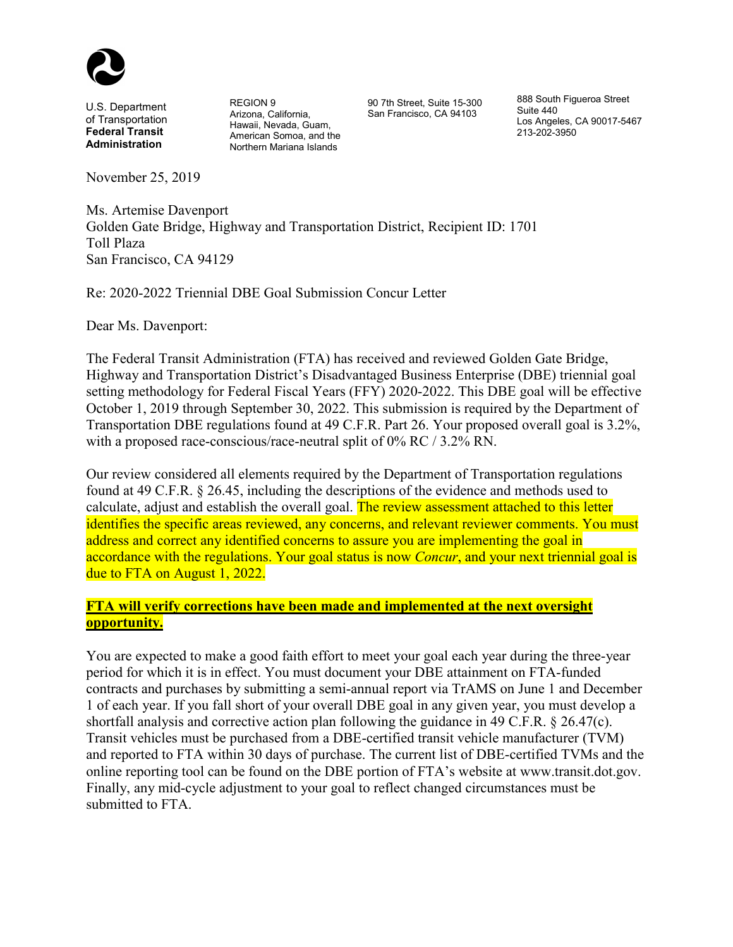

U.S. Department of Transportation **Federal Transit Administration**

REGION 9 Arizona, California, Hawaii, Nevada, Guam, American Somoa, and the Northern Mariana Islands

90 7th Street, Suite 15-300 San Francisco, CA 94103

888 South Figueroa Street Suite 440 Los Angeles, CA 90017-5467 213-202-3950

November 25, 2019

Ms. Artemise Davenport Golden Gate Bridge, Highway and Transportation District, Recipient ID: 1701 Toll Plaza San Francisco, CA 94129

Re: 2020-2022 Triennial DBE Goal Submission Concur Letter

Dear Ms. Davenport:

The Federal Transit Administration (FTA) has received and reviewed Golden Gate Bridge, Highway and Transportation District's Disadvantaged Business Enterprise (DBE) triennial goal setting methodology for Federal Fiscal Years (FFY) 2020-2022. This DBE goal will be effective October 1, 2019 through September 30, 2022. This submission is required by the Department of Transportation DBE regulations found at 49 C.F.R. Part 26. Your proposed overall goal is 3.2%, with a proposed race-conscious/race-neutral split of 0% RC / 3.2% RN.

Our review considered all elements required by the Department of Transportation regulations found at 49 C.F.R. § 26.45, including the descriptions of the evidence and methods used to calculate, adjust and establish the overall goal. The review assessment attached to this letter identifies the specific areas reviewed, any concerns, and relevant reviewer comments. You must address and correct any identified concerns to assure you are implementing the goal in accordance with the regulations. Your goal status is now *Concur*, and your next triennial goal is due to FTA on August 1, 2022.

#### **FTA will verify corrections have been made and implemented at the next oversight opportunity.**

You are expected to make a good faith effort to meet your goal each year during the three-year period for which it is in effect. You must document your DBE attainment on FTA-funded contracts and purchases by submitting a semi-annual report via TrAMS on June 1 and December 1 of each year. If you fall short of your overall DBE goal in any given year, you must develop a shortfall analysis and corrective action plan following the guidance in 49 C.F.R.  $\S$  26.47(c). Transit vehicles must be purchased from a DBE-certified transit vehicle manufacturer (TVM) and reported to FTA within 30 days of purchase. The current list of DBE-certified TVMs and the online reporting tool can be found on the DBE portion of FTA's website at www.transit.dot.gov. Finally, any mid-cycle adjustment to your goal to reflect changed circumstances must be submitted to FTA.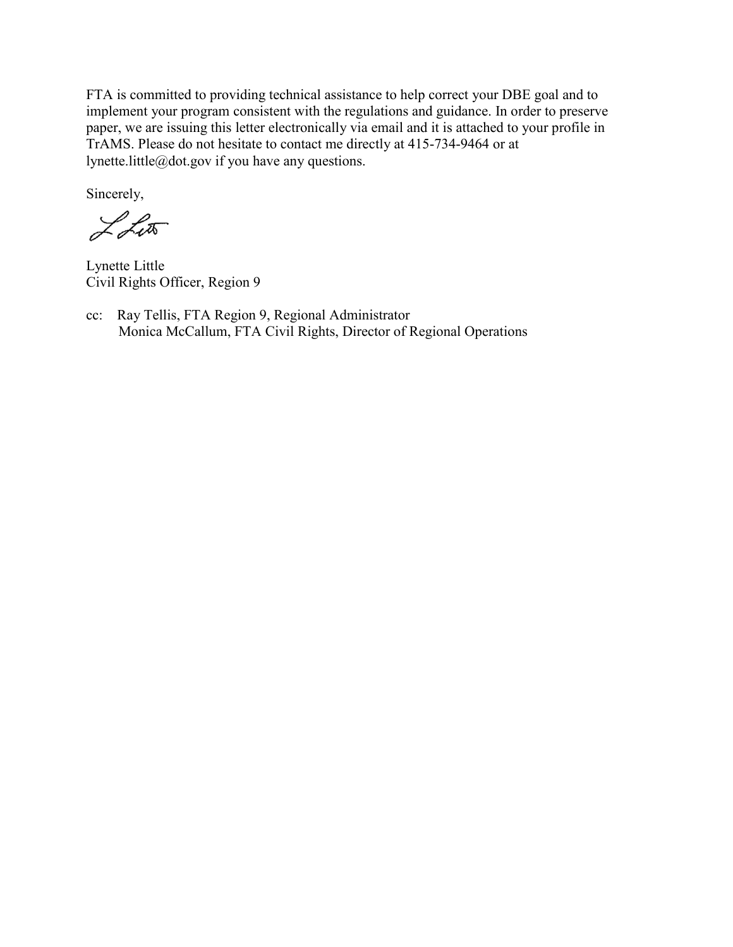FTA is committed to providing technical assistance to help correct your DBE goal and to implement your program consistent with the regulations and guidance. In order to preserve paper, we are issuing this letter electronically via email and it is attached to your profile in TrAMS. Please do not hesitate to contact me directly at 415-734-9464 or at lynette.little@dot.gov if you have any questions.

Sincerely,

LLut

 Lynette Little Civil Rights Officer, Region 9

cc: Ray Tellis, FTA Region 9, Regional Administrator Monica McCallum, FTA Civil Rights, Director of Regional Operations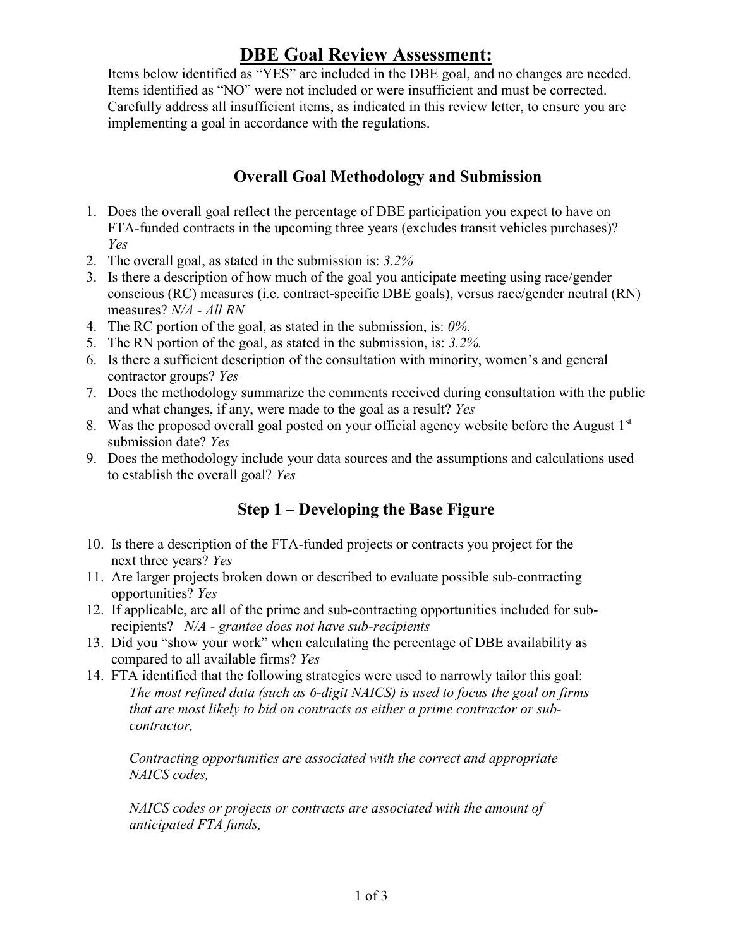## **DBE Goal Review Assessment:**

Items below identified as "YES" are included in the DBE goal, and no changes are needed. Items identified as "NO" were not included or were insufficient and must be corrected. Carefully address all insufficient items, as indicated in this review letter, to ensure you are implementing a goal in accordance with the regulations.

### **Overall Goal Methodology and Submission**

- 1. Does the overall goal reflect the percentage of DBE participation you expect to have on FTA-funded contracts in the upcoming three years (excludes transit vehicles purchases)? *Yes*
- 2. The overall goal, as stated in the submission is: *3.2%*
- 3. Is there a description of how much of the goal you anticipate meeting using race/gender conscious (RC) measures (i.e. contract-specific DBE goals), versus race/gender neutral (RN) measures? *N/A - All RN*
- 4. The RC portion of the goal, as stated in the submission, is: *0%*.
- 5. The RN portion of the goal, as stated in the submission, is: *3.2%.*
- 6. Is there a sufficient description of the consultation with minority, women's and general contractor groups? *Yes*
- 7. Does the methodology summarize the comments received during consultation with the public and what changes, if any, were made to the goal as a result? *Yes*
- 8. Was the proposed overall goal posted on your official agency website before the August  $1<sup>st</sup>$ submission date? *Yes*
- 9. Does the methodology include your data sources and the assumptions and calculations used to establish the overall goal? *Yes*

### **Step 1 – Developing the Base Figure**

- 10. Is there a description of the FTA-funded projects or contracts you project for the next three years? *Yes*
- 11. Are larger projects broken down or described to evaluate possible sub-contracting opportunities? *Yes*
- 12. If applicable, are all of the prime and sub-contracting opportunities included for sub recipients? *N/A - grantee does not have sub-recipients*
- 13. Did you "show your work" when calculating the percentage of DBE availability as compared to all available firms? *Yes*
- 14. FTA identified that the following strategies were used to narrowly tailor this goal: *The most refined data (such as 6-digit NAICS) is used to focus the goal on firms that are most likely to bid on contracts as either a prime contractor or subcontractor,*

*Contracting opportunities are associated with the correct and appropriate NAICS codes,* 

*NAICS codes or projects or contracts are associated with the amount of anticipated FTA funds,*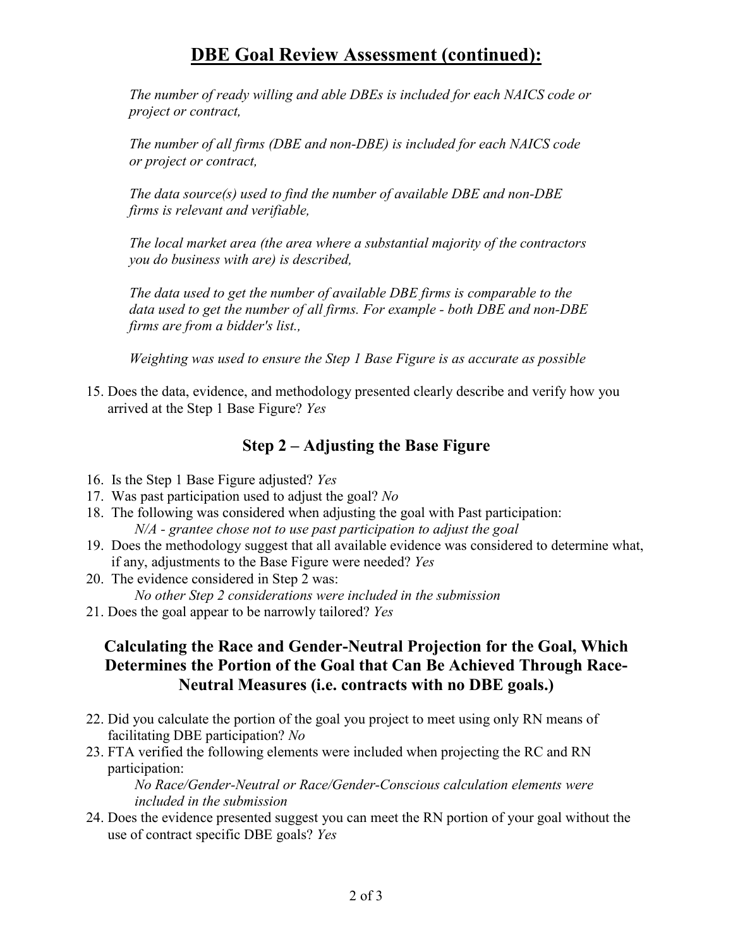# **DBE Goal Review Assessment (continued):**

*The number of ready willing and able DBEs is included for each NAICS code or project or contract,* 

*The number of all firms (DBE and non-DBE) is included for each NAICS code or project or contract,* 

*The data source(s) used to find the number of available DBE and non-DBE firms is relevant and verifiable,* 

*The local market area (the area where a substantial majority of the contractors you do business with are) is described,* 

*The data used to get the number of available DBE firms is comparable to the data used to get the number of all firms. For example - both DBE and non-DBE firms are from a bidder's list.,* 

*Weighting was used to ensure the Step 1 Base Figure is as accurate as possible*

15. Does the data, evidence, and methodology presented clearly describe and verify how you arrived at the Step 1 Base Figure? *Yes*

### **Step 2 – Adjusting the Base Figure**

- 16. Is the Step 1 Base Figure adjusted? *Yes*
- 17. Was past participation used to adjust the goal? *No*
- 18. The following was considered when adjusting the goal with Past participation: *N/A - grantee chose not to use past participation to adjust the goal*
- 19. Does the methodology suggest that all available evidence was considered to determine what, if any, adjustments to the Base Figure were needed? *Yes*
- 20. The evidence considered in Step 2 was: *No other Step 2 considerations were included in the submission*
- 21. Does the goal appear to be narrowly tailored? *Yes*

### **Calculating the Race and Gender-Neutral Projection for the Goal, Which Determines the Portion of the Goal that Can Be Achieved Through Race-Neutral Measures (i.e. contracts with no DBE goals.)**

- 22. Did you calculate the portion of the goal you project to meet using only RN means of facilitating DBE participation? *No*
- 23. FTA verified the following elements were included when projecting the RC and RN participation:

*No Race/Gender-Neutral or Race/Gender-Conscious calculation elements were included in the submission*

24. Does the evidence presented suggest you can meet the RN portion of your goal without the use of contract specific DBE goals? *Yes*